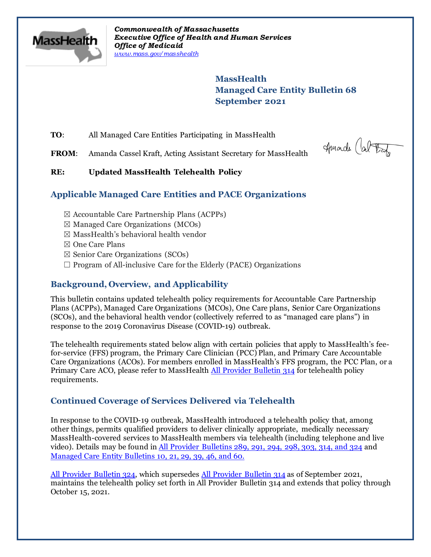

*Commonwealth of Massachusetts Executive Office of Health and Human Services Office of Medicaid [www.mass.gov/masshealth](http://www.mass.gov/masshealth)*

> **MassHealth Managed Care Entity Bulletin 68 September 2021**

**TO:** All Managed Care Entities Participating in MassHealth

FROM: Amanda Cassel Kraft, Acting Assistant Secretary for MassHealth

Amade Cal Bat

### **RE: Updated MassHealth Telehealth Policy**

## **Applicable Managed Care Entities and PACE Organizations**

- $\boxtimes$  Accountable Care Partnership Plans (ACPPs)
- $\boxtimes$  Managed Care Organizations (MCOs)
- $\boxtimes$  MassHealth's behavioral health vendor
- ☒ One Care Plans
- $\boxtimes$  Senior Care Organizations (SCOs)
- $\Box$  Program of All-inclusive Care for the Elderly (PACE) Organizations

## **Background, Overview, and Applicability**

This bulletin contains updated telehealth policy requirements for Accountable Care Partnership Plans (ACPPs), Managed Care Organizations (MCOs), One Care plans, Senior Care Organizations (SCOs), and the behavioral health vendor (collectively referred to as "managed care plans") in response to the 2019 Coronavirus Disease (COVID-19) outbreak.

The telehealth requirements stated below align with certain policies that apply to MassHealth's feefor-service (FFS) program, the Primary Care Clinician (PCC) Plan, and Primary Care Accountable Care Organizations (ACOs). For members enrolled in MassHealth's FFS program, the PCC Plan, or a Primary Care ACO, please refer to MassHealth [All Provider Bulletin 314](https://www.mass.gov/lists/all-provider-bulletins) for telehealth policy requirements.

# **Continued Coverage of Services Delivered via Telehealth**

In response to the COVID-19 outbreak, MassHealth introduced a telehealth policy that, among other things, permits qualified providers to deliver clinically appropriate, medically necessary MassHealth-covered services to MassHealth members via telehealth (including telephone and live video). Details may be found in [All Provider Bulletins 289, 291, 294, 298, 303, 314, and 324](http://www.mass.gov/lists/all-provider-bulletins) and [Managed Care Entity Bulletins 10, 21, 29, 39, 46, and 60.](https://www.mass.gov/lists/masshealth-provider-bulletins-by-provider-type-i-n#managed-care-entity-)

[All Provider Bulletin 324,](https://www.mass.gov/lists/all-provider-bulletins) which supersedes [All Provider Bulletin 314](https://www.mass.gov/lists/all-provider-bulletins) as of September 2021, maintains the telehealth policy set forth in All Provider Bulletin 314 and extends that policy through October 15, 2021.